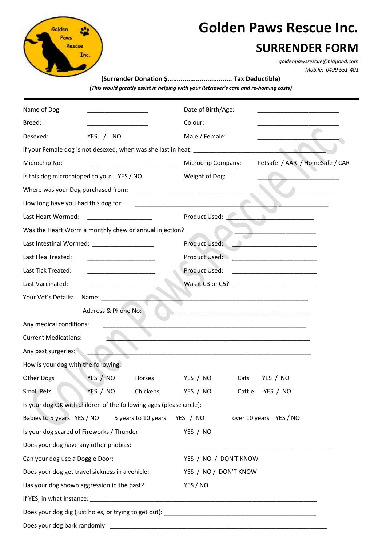

## **Golden Paws Rescue Inc.**

## **SURRENDER FORM**

*[goldenpawsrescue@bigpond.com](mailto:goldenpawsrescue@bigpond.com) Mobile: 0499 551-401*

**(Surrender Donation \$.................................. Tax Deductible)** *(This would greatly assist in helping with your Retriever's care and re-homing costs)*

| Name of Dog                                                                                                                                                                                                                                           | Date of Birth/Age:                                                                                                    |
|-------------------------------------------------------------------------------------------------------------------------------------------------------------------------------------------------------------------------------------------------------|-----------------------------------------------------------------------------------------------------------------------|
| Breed:                                                                                                                                                                                                                                                | Colour:                                                                                                               |
| Desexed:<br>YES / NO                                                                                                                                                                                                                                  | Male / Female:                                                                                                        |
|                                                                                                                                                                                                                                                       |                                                                                                                       |
| Microchip No:                                                                                                                                                                                                                                         | Petsafe / AAR / HomeSafe / CAR<br>Microchip Company:                                                                  |
| Is this dog microchipped to you: YES / NO                                                                                                                                                                                                             | Weight of Dog:                                                                                                        |
| Where was your Dog purchased from:                                                                                                                                                                                                                    | <u> 1989 - Johann Barbara, martin amerikan basal dan basal dan basal dan basal dan basal dan basal dan basal dan</u>  |
| How long have you had this dog for:                                                                                                                                                                                                                   |                                                                                                                       |
| Last Heart Wormed:                                                                                                                                                                                                                                    | Product Used:                                                                                                         |
| Was the Heart Worm a monthly chew or annual injection?                                                                                                                                                                                                |                                                                                                                       |
|                                                                                                                                                                                                                                                       | Product Used:                                                                                                         |
| Last Flea Treated:                                                                                                                                                                                                                                    | Product Used:<br><u> 1989 - Johann Barbara, martin amerikan per</u>                                                   |
| Last Tick Treated:<br><u> 1989 - Johann John Harry Harry Harry Harry Harry Harry Harry Harry Harry Harry Harry Harry Harry Harry Harry</u>                                                                                                            | Product Used:                                                                                                         |
| Last Vaccinated:                                                                                                                                                                                                                                      | Was it C3 or C5?                                                                                                      |
| Your Vet's Details:<br>Name: and the same of the same of the same of the same of the same of the same of the same of the same of the same of the same of the same of the same of the same of the same of the same of the same of the same of the same |                                                                                                                       |
| Address & Phone No:                                                                                                                                                                                                                                   |                                                                                                                       |
| Any medical conditions:                                                                                                                                                                                                                               |                                                                                                                       |
| <b>Current Medications:</b>                                                                                                                                                                                                                           |                                                                                                                       |
| Any past surgeries:                                                                                                                                                                                                                                   |                                                                                                                       |
| How is your dog with the following:                                                                                                                                                                                                                   |                                                                                                                       |
| YES / NO<br><b>Other Dogs</b><br>Horses                                                                                                                                                                                                               | YES / NO<br>Cats<br>YES / NO                                                                                          |
| YES / NO<br><b>Small Pets</b>                                                                                                                                                                                                                         | Chickens<br>YES / NO<br>Cattle YES / NO                                                                               |
| Is your dog OK with children of the following ages (please circle):                                                                                                                                                                                   |                                                                                                                       |
| Babies to 5 years YES / NO<br>5 years to 10 years                                                                                                                                                                                                     | YES / NO<br>over 10 years YES / NO                                                                                    |
| Is your dog scared of Fireworks / Thunder:                                                                                                                                                                                                            | YES / NO                                                                                                              |
| Does your dog have any other phobias:                                                                                                                                                                                                                 | <u> 1989 - Johann John Stone, markin film yn y brening yn y brening yn y brening yn y brening yn y brening yn y b</u> |
| Can your dog use a Doggie Door:                                                                                                                                                                                                                       | YES / NO / DON'T KNOW                                                                                                 |
| Does your dog get travel sickness in a vehicle:                                                                                                                                                                                                       | YES / NO / DON'T KNOW                                                                                                 |
| Has your dog shown aggression in the past?                                                                                                                                                                                                            | YES / NO                                                                                                              |
|                                                                                                                                                                                                                                                       |                                                                                                                       |
|                                                                                                                                                                                                                                                       |                                                                                                                       |
| Does your dog bark randomly:                                                                                                                                                                                                                          | <u> 1989 - Johann Stoff, amerikansk politiker (d. 1989)</u>                                                           |